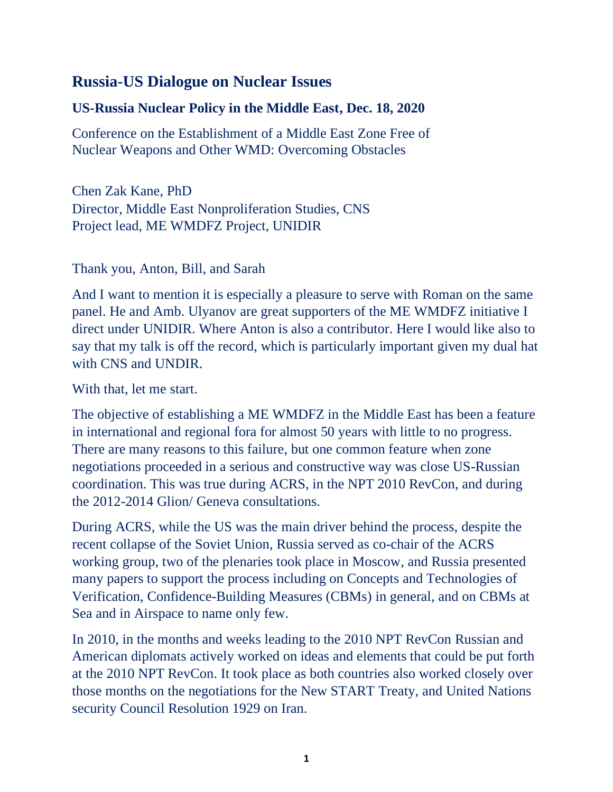## **Russia-US Dialogue on Nuclear Issues**

## **US-Russia Nuclear Policy in the Middle East, Dec. 18, 2020**

Conference on the Establishment of a Middle East Zone Free of Nuclear Weapons and Other WMD: Overcoming Obstacles

Chen Zak Kane, PhD Director, Middle East Nonproliferation Studies, CNS Project lead, ME WMDFZ Project, UNIDIR

Thank you, Anton, Bill, and Sarah

And I want to mention it is especially a pleasure to serve with Roman on the same panel. He and Amb. Ulyanov are great supporters of the ME WMDFZ initiative I direct under UNIDIR. Where Anton is also a contributor. Here I would like also to say that my talk is off the record, which is particularly important given my dual hat with CNS and UNDIR.

With that, let me start.

The objective of establishing a ME WMDFZ in the Middle East has been a feature in international and regional fora for almost 50 years with little to no progress. There are many reasons to this failure, but one common feature when zone negotiations proceeded in a serious and constructive way was close US-Russian coordination. This was true during ACRS, in the NPT 2010 RevCon, and during the 2012-2014 Glion/ Geneva consultations.

During ACRS, while the US was the main driver behind the process, despite the recent collapse of the Soviet Union, Russia served as co-chair of the ACRS working group, two of the plenaries took place in Moscow, and Russia presented many papers to support the process including on Concepts and Technologies of Verification, Confidence-Building Measures (CBMs) in general, and on CBMs at Sea and in Airspace to name only few.

In 2010, in the months and weeks leading to the 2010 NPT RevCon Russian and American diplomats actively worked on ideas and elements that could be put forth at the 2010 NPT RevCon. It took place as both countries also worked closely over those months on the negotiations for the New START Treaty, and United Nations security Council Resolution 1929 on Iran.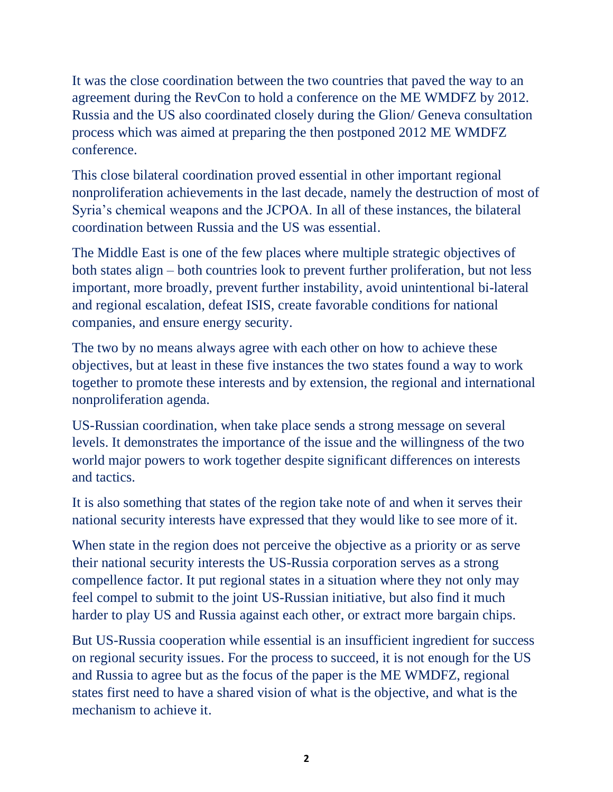It was the close coordination between the two countries that paved the way to an agreement during the RevCon to hold a conference on the ME WMDFZ by 2012. Russia and the US also coordinated closely during the Glion/ Geneva consultation process which was aimed at preparing the then postponed 2012 ME WMDFZ conference.

This close bilateral coordination proved essential in other important regional nonproliferation achievements in the last decade, namely the destruction of most of Syria's chemical weapons and the JCPOA. In all of these instances, the bilateral coordination between Russia and the US was essential.

The Middle East is one of the few places where multiple strategic objectives of both states align – both countries look to prevent further proliferation, but not less important, more broadly, prevent further instability, avoid unintentional bi-lateral and regional escalation, defeat ISIS, create favorable conditions for national companies, and ensure energy security.

The two by no means always agree with each other on how to achieve these objectives, but at least in these five instances the two states found a way to work together to promote these interests and by extension, the regional and international nonproliferation agenda.

US-Russian coordination, when take place sends a strong message on several levels. It demonstrates the importance of the issue and the willingness of the two world major powers to work together despite significant differences on interests and tactics.

It is also something that states of the region take note of and when it serves their national security interests have expressed that they would like to see more of it.

When state in the region does not perceive the objective as a priority or as serve their national security interests the US-Russia corporation serves as a strong compellence factor. It put regional states in a situation where they not only may feel compel to submit to the joint US-Russian initiative, but also find it much harder to play US and Russia against each other, or extract more bargain chips.

But US-Russia cooperation while essential is an insufficient ingredient for success on regional security issues. For the process to succeed, it is not enough for the US and Russia to agree but as the focus of the paper is the ME WMDFZ, regional states first need to have a shared vision of what is the objective, and what is the mechanism to achieve it.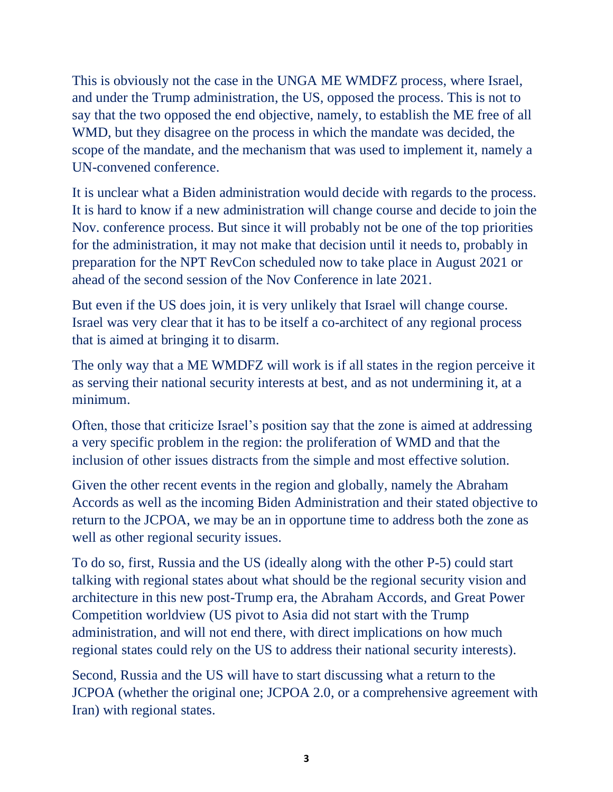This is obviously not the case in the UNGA ME WMDFZ process, where Israel, and under the Trump administration, the US, opposed the process. This is not to say that the two opposed the end objective, namely, to establish the ME free of all WMD, but they disagree on the process in which the mandate was decided, the scope of the mandate, and the mechanism that was used to implement it, namely a UN-convened conference.

It is unclear what a Biden administration would decide with regards to the process. It is hard to know if a new administration will change course and decide to join the Nov. conference process. But since it will probably not be one of the top priorities for the administration, it may not make that decision until it needs to, probably in preparation for the NPT RevCon scheduled now to take place in August 2021 or ahead of the second session of the Nov Conference in late 2021.

But even if the US does join, it is very unlikely that Israel will change course. Israel was very clear that it has to be itself a co-architect of any regional process that is aimed at bringing it to disarm.

The only way that a ME WMDFZ will work is if all states in the region perceive it as serving their national security interests at best, and as not undermining it, at a minimum.

Often, those that criticize Israel's position say that the zone is aimed at addressing a very specific problem in the region: the proliferation of WMD and that the inclusion of other issues distracts from the simple and most effective solution.

Given the other recent events in the region and globally, namely the Abraham Accords as well as the incoming Biden Administration and their stated objective to return to the JCPOA, we may be an in opportune time to address both the zone as well as other regional security issues.

To do so, first, Russia and the US (ideally along with the other P-5) could start talking with regional states about what should be the regional security vision and architecture in this new post-Trump era, the Abraham Accords, and Great Power Competition worldview (US pivot to Asia did not start with the Trump administration, and will not end there, with direct implications on how much regional states could rely on the US to address their national security interests).

Second, Russia and the US will have to start discussing what a return to the JCPOA (whether the original one; JCPOA 2.0, or a comprehensive agreement with Iran) with regional states.